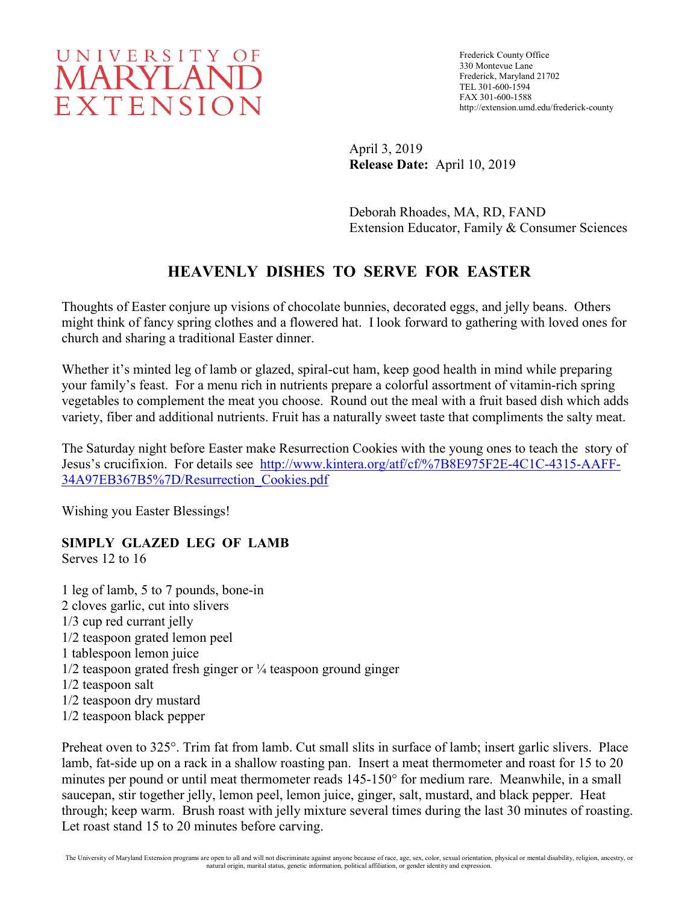# UNIVERSITY OF **MARYLAND** EXTENSION

Frederick County Office 330 Montevue Lane Frederick, Maryland 21702 TEL 301-600-1594 FAX 301-600-1588 http://extension.umd.edu/frederick-county

April 3, 2019 **Release Date:** April 10, 2019

Deborah Rhoades, MA, RD, FAND Extension Educator, Family & Consumer Sciences

## **HEAVENLY DISHES TO SERVE FOR EASTER**

Thoughts of Easter conjure up visions of chocolate bunnies, decorated eggs, and jelly beans. Others might think of fancy spring clothes and a flowered hat. I look forward to gathering with loved ones for church and sharing a traditional Easter dinner.

Whether it's minted leg of lamb or glazed, spiral-cut ham, keep good health in mind while preparing your family's feast. For a menu rich in nutrients prepare a colorful assortment of vitamin-rich spring vegetables to complement the meat you choose. Round out the meal with a fruit based dish which adds variety, fiber and additional nutrients. Fruit has a naturally sweet taste that compliments the salty meat.

The Saturday night before Easter make Resurrection Cookies with the young ones to teach the story of Jesus's crucifixion. For details see [http://www.kintera.org/atf/cf/%7B8E975F2E-4C1C-4315-AAFF-](http://www.kintera.org/atf/cf/%7B8E975F2E-4C1C-4315-AAFF-34A97EB367B5%7D/Resurrection_Cookies.pdf)[34A97EB367B5%7D/Resurrection\\_Cookies.pdf](http://www.kintera.org/atf/cf/%7B8E975F2E-4C1C-4315-AAFF-34A97EB367B5%7D/Resurrection_Cookies.pdf)

Wishing you Easter Blessings!

### **SIMPLY GLAZED LEG OF LAMB**

Serves 12 to 16

- 1 leg of lamb, 5 to 7 pounds, bone-in 2 cloves garlic, cut into slivers 1/3 cup red currant jelly 1/2 teaspoon grated lemon peel 1 tablespoon lemon juice  $1/2$  teaspoon grated fresh ginger or  $\frac{1}{4}$  teaspoon ground ginger 1/2 teaspoon salt 1/2 teaspoon dry mustard
- 1/2 teaspoon black pepper

Preheat oven to 325°. Trim fat from lamb. Cut small slits in surface of lamb; insert garlic slivers. Place lamb, fat-side up on a rack in a shallow roasting pan. Insert a meat thermometer and roast for 15 to 20 minutes per pound or until meat thermometer reads 145-150° for medium rare. Meanwhile, in a small saucepan, stir together jelly, lemon peel, lemon juice, ginger, salt, mustard, and black pepper. Heat through; keep warm. Brush roast with jelly mixture several times during the last 30 minutes of roasting. Let roast stand 15 to 20 minutes before carving.